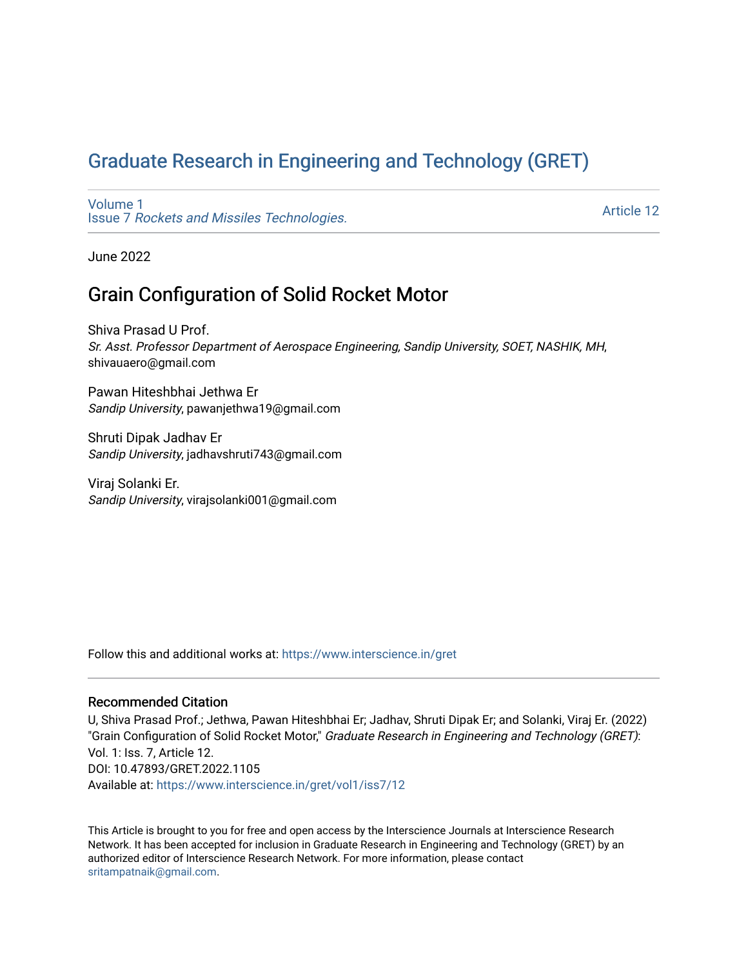# [Graduate Research in Engineering and Technology \(GRET\)](https://www.interscience.in/gret)

[Volume 1](https://www.interscience.in/gret/vol1) Issue 7 [Rockets and Missiles Technologies.](https://www.interscience.in/gret/vol1/iss7)

[Article 12](https://www.interscience.in/gret/vol1/iss7/12) 

June 2022

## Grain Configuration of Solid Rocket Motor

Shiva Prasad U Prof. Sr. Asst. Professor Department of Aerospace Engineering, Sandip University, SOET, NASHIK, MH, shivauaero@gmail.com

Pawan Hiteshbhai Jethwa Er Sandip University, pawanjethwa19@gmail.com

Shruti Dipak Jadhav Er Sandip University, jadhavshruti743@gmail.com

Viraj Solanki Er. Sandip University, virajsolanki001@gmail.com

Follow this and additional works at: [https://www.interscience.in/gret](https://www.interscience.in/gret?utm_source=www.interscience.in%2Fgret%2Fvol1%2Fiss7%2F12&utm_medium=PDF&utm_campaign=PDFCoverPages)

## Recommended Citation

U, Shiva Prasad Prof.; Jethwa, Pawan Hiteshbhai Er; Jadhav, Shruti Dipak Er; and Solanki, Viraj Er. (2022) "Grain Configuration of Solid Rocket Motor," Graduate Research in Engineering and Technology (GRET): Vol. 1: Iss. 7, Article 12. DOI: 10.47893/GRET.2022.1105 Available at: [https://www.interscience.in/gret/vol1/iss7/12](https://www.interscience.in/gret/vol1/iss7/12?utm_source=www.interscience.in%2Fgret%2Fvol1%2Fiss7%2F12&utm_medium=PDF&utm_campaign=PDFCoverPages) 

This Article is brought to you for free and open access by the Interscience Journals at Interscience Research Network. It has been accepted for inclusion in Graduate Research in Engineering and Technology (GRET) by an authorized editor of Interscience Research Network. For more information, please contact [sritampatnaik@gmail.com](mailto:sritampatnaik@gmail.com).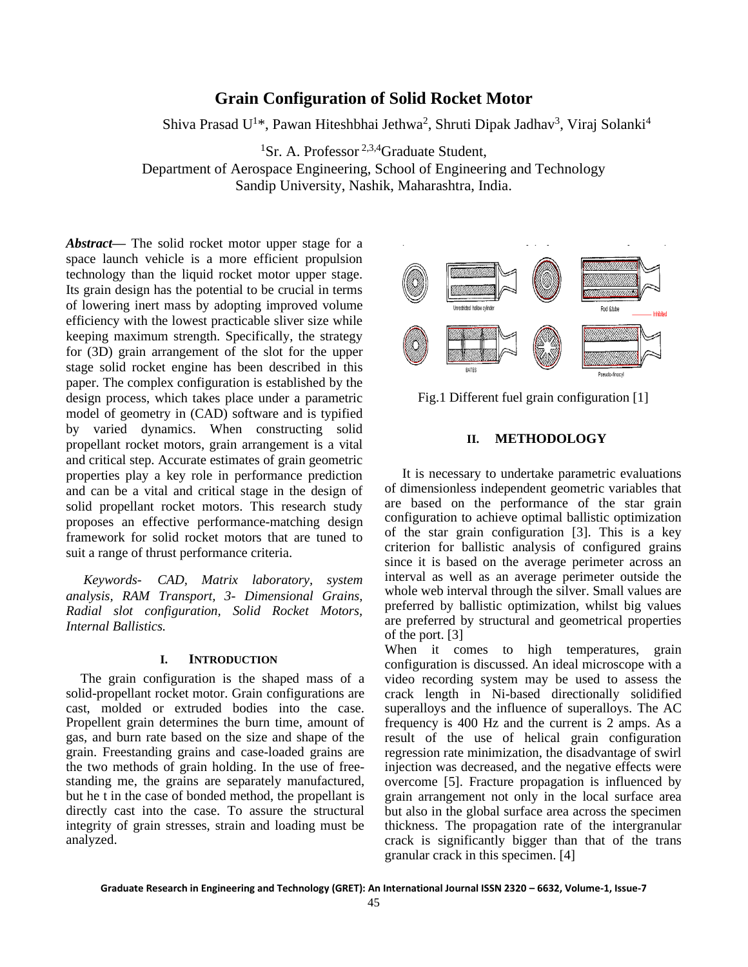## **Grain Configuration of Solid Rocket Motor**

Shiva Prasad U<sup>1\*</sup>, Pawan Hiteshbhai Jethwa<sup>2</sup>, Shruti Dipak Jadhav<sup>3</sup>, Viraj Solanki<sup>4</sup>

<sup>1</sup>Sr. A. Professor<sup>2,3,4</sup>Graduate Student,

Department of Aerospace Engineering, School of Engineering and Technology Sandip University, Nashik, Maharashtra, India.

*Abstract***—** The solid rocket motor upper stage for a space launch vehicle is a more efficient propulsion technology than the liquid rocket motor upper stage. Its grain design has the potential to be crucial in terms of lowering inert mass by adopting improved volume efficiency with the lowest practicable sliver size while keeping maximum strength. Specifically, the strategy for (3D) grain arrangement of the slot for the upper stage solid rocket engine has been described in this paper. The complex configuration is established by the design process, which takes place under a parametric model of geometry in (CAD) software and is typified by varied dynamics. When constructing solid propellant rocket motors, grain arrangement is a vital and critical step. Accurate estimates of grain geometric properties play a key role in performance prediction and can be a vital and critical stage in the design of solid propellant rocket motors. This research study proposes an effective performance-matching design framework for solid rocket motors that are tuned to suit a range of thrust performance criteria.

*Keywords- CAD, Matrix laboratory, system analysis, RAM Transport, 3- Dimensional Grains, Radial slot configuration, Solid Rocket Motors, Internal Ballistics.*

#### **I. INTRODUCTION**

The grain configuration is the shaped mass of a solid-propellant rocket motor. Grain configurations are cast, molded or extruded bodies into the case. Propellent grain determines the burn time, amount of gas, and burn rate based on the size and shape of the grain. Freestanding grains and case-loaded grains are the two methods of grain holding. In the use of freestanding me, the grains are separately manufactured, but he t in the case of bonded method, the propellant is directly cast into the case. To assure the structural integrity of grain stresses, strain and loading must be analyzed.



Fig.1 Different fuel grain configuration [1]

### **II. METHODOLOGY**

It is necessary to undertake parametric evaluations of dimensionless independent geometric variables that are based on the performance of the star grain configuration to achieve optimal ballistic optimization of the star grain configuration [3]. This is a key criterion for ballistic analysis of configured grains since it is based on the average perimeter across an interval as well as an average perimeter outside the whole web interval through the silver. Small values are preferred by ballistic optimization, whilst big values are preferred by structural and geometrical properties of the port. [3]

When it comes to high temperatures, grain configuration is discussed. An ideal microscope with a video recording system may be used to assess the crack length in Ni-based directionally solidified superalloys and the influence of superalloys. The AC frequency is 400 Hz and the current is 2 amps. As a result of the use of helical grain configuration regression rate minimization, the disadvantage of swirl injection was decreased, and the negative effects were overcome [5]. Fracture propagation is influenced by grain arrangement not only in the local surface area but also in the global surface area across the specimen thickness. The propagation rate of the intergranular crack is significantly bigger than that of the trans granular crack in this specimen. [4]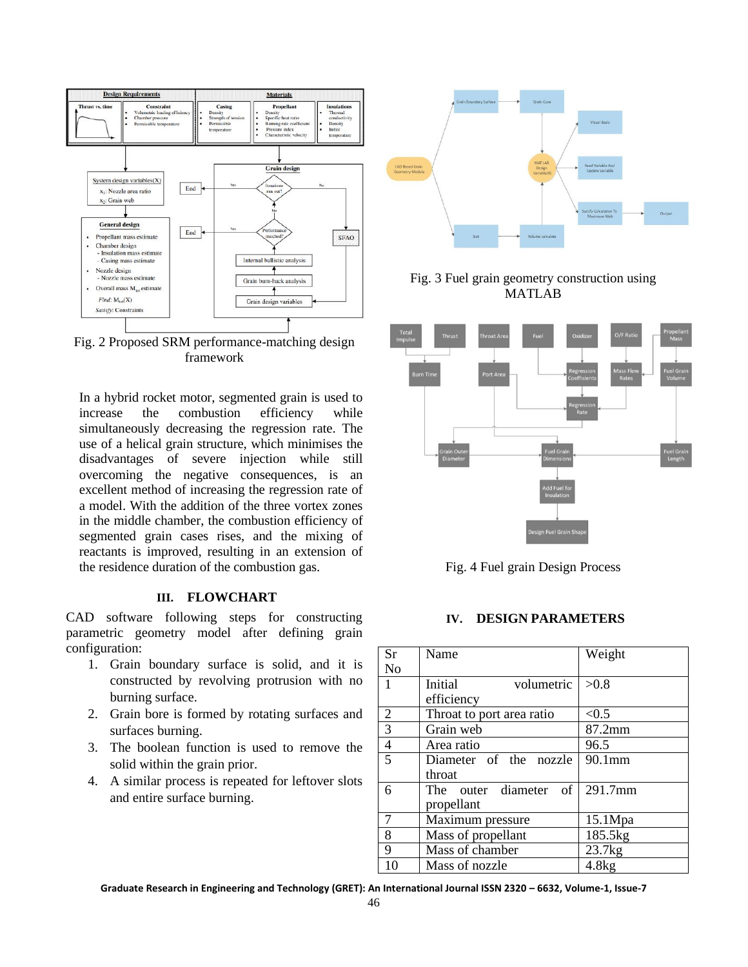

Fig. 2 Proposed SRM performance-matching design framework

In a hybrid rocket motor, segmented grain is used to increase the combustion efficiency while simultaneously decreasing the regression rate. The use of a helical grain structure, which minimises the disadvantages of severe injection while still overcoming the negative consequences, is an excellent method of increasing the regression rate of a model. With the addition of the three vortex zones in the middle chamber, the combustion efficiency of segmented grain cases rises, and the mixing of reactants is improved, resulting in an extension of the residence duration of the combustion gas.

## **III. FLOWCHART**

CAD software following steps for constructing parametric geometry model after defining grain configuration:

- 1. Grain boundary surface is solid, and it is constructed by revolving protrusion with no burning surface.
- 2. Grain bore is formed by rotating surfaces and surfaces burning.
- 3. The boolean function is used to remove the solid within the grain prior.
- 4. A similar process is repeated for leftover slots and entire surface burning.



Fig. 3 Fuel grain geometry construction using MATLAB



Fig. 4 Fuel grain Design Process

### **IV. DESIGN PARAMETERS**

| <b>Sr</b>      | Name                      | Weight  |
|----------------|---------------------------|---------|
|                |                           |         |
| N <sub>o</sub> |                           |         |
| $\overline{1}$ | Initial<br>volumetric     | >0.8    |
|                | efficiency                |         |
| $\overline{2}$ | Throat to port area ratio | < 0.5   |
| $\overline{3}$ | Grain web                 | 87.2mm  |
| $\overline{4}$ | Area ratio                | 96.5    |
| $\overline{5}$ | Diameter of the nozzle    | 90.1mm  |
|                | throat                    |         |
| 6              | of<br>The outer diameter  | 291.7mm |
|                | propellant                |         |
| $\overline{7}$ | Maximum pressure          | 15.1Mpa |
| 8              | Mass of propellant        | 185.5kg |
| 9              | Mass of chamber           | 23.7kg  |
| 10             | Mass of nozzle            | 4.8kg   |

**Graduate Research in Engineering and Technology (GRET): An International Journal ISSN 2320 – 6632, Volume-1, Issue-7**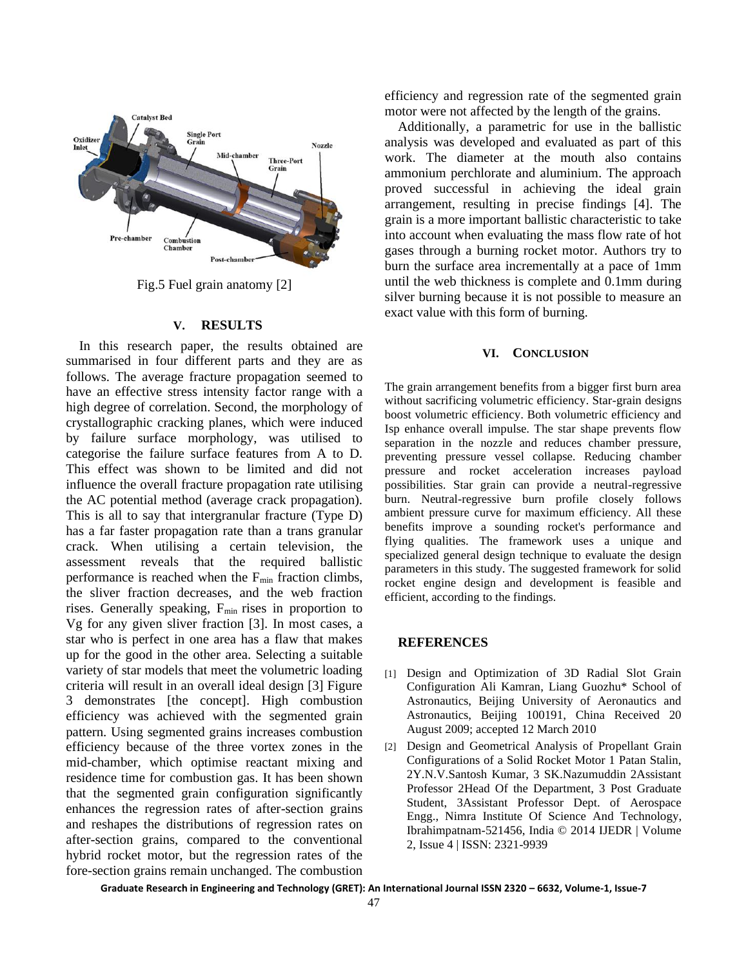

Fig.5 Fuel grain anatomy [2]

#### **V. RESULTS**

In this research paper, the results obtained are summarised in four different parts and they are as follows. The average fracture propagation seemed to have an effective stress intensity factor range with a high degree of correlation. Second, the morphology of crystallographic cracking planes, which were induced by failure surface morphology, was utilised to categorise the failure surface features from A to D. This effect was shown to be limited and did not influence the overall fracture propagation rate utilising the AC potential method (average crack propagation). This is all to say that intergranular fracture (Type D) has a far faster propagation rate than a trans granular crack. When utilising a certain television, the assessment reveals that the required ballistic performance is reached when the  $F_{min}$  fraction climbs, the sliver fraction decreases, and the web fraction rises. Generally speaking,  $F_{min}$  rises in proportion to Vg for any given sliver fraction [3]. In most cases, a star who is perfect in one area has a flaw that makes up for the good in the other area. Selecting a suitable variety of star models that meet the volumetric loading criteria will result in an overall ideal design [3] Figure 3 demonstrates [the concept]. High combustion efficiency was achieved with the segmented grain pattern. Using segmented grains increases combustion efficiency because of the three vortex zones in the mid-chamber, which optimise reactant mixing and residence time for combustion gas. It has been shown that the segmented grain configuration significantly enhances the regression rates of after-section grains and reshapes the distributions of regression rates on after-section grains, compared to the conventional hybrid rocket motor, but the regression rates of the fore-section grains remain unchanged. The combustion

efficiency and regression rate of the segmented grain motor were not affected by the length of the grains.

Additionally, a parametric for use in the ballistic analysis was developed and evaluated as part of this work. The diameter at the mouth also contains ammonium perchlorate and aluminium. The approach proved successful in achieving the ideal grain arrangement, resulting in precise findings [4]. The grain is a more important ballistic characteristic to take into account when evaluating the mass flow rate of hot gases through a burning rocket motor. Authors try to burn the surface area incrementally at a pace of 1mm until the web thickness is complete and 0.1mm during silver burning because it is not possible to measure an exact value with this form of burning.

#### **VI. CONCLUSION**

The grain arrangement benefits from a bigger first burn area without sacrificing volumetric efficiency. Star-grain designs boost volumetric efficiency. Both volumetric efficiency and Isp enhance overall impulse. The star shape prevents flow separation in the nozzle and reduces chamber pressure, preventing pressure vessel collapse. Reducing chamber pressure and rocket acceleration increases payload possibilities. Star grain can provide a neutral-regressive burn. Neutral-regressive burn profile closely follows ambient pressure curve for maximum efficiency. All these benefits improve a sounding rocket's performance and flying qualities. The framework uses a unique and specialized general design technique to evaluate the design parameters in this study. The suggested framework for solid rocket engine design and development is feasible and efficient, according to the findings.

#### **REFERENCES**

- [1] Design and Optimization of 3D Radial Slot Grain Configuration Ali Kamran, Liang Guozhu\* School of Astronautics, Beijing University of Aeronautics and Astronautics, Beijing 100191, China Received 20 August 2009; accepted 12 March 2010
- [2] Design and Geometrical Analysis of Propellant Grain Configurations of a Solid Rocket Motor 1 Patan Stalin, 2Y.N.V.Santosh Kumar, 3 SK.Nazumuddin 2Assistant Professor 2Head Of the Department, 3 Post Graduate Student, 3Assistant Professor Dept. of Aerospace Engg., Nimra Institute Of Science And Technology, Ibrahimpatnam-521456, India © 2014 IJEDR | Volume 2, Issue 4 | ISSN: 2321-9939

**Graduate Research in Engineering and Technology (GRET): An International Journal ISSN 2320 – 6632, Volume-1, Issue-7**